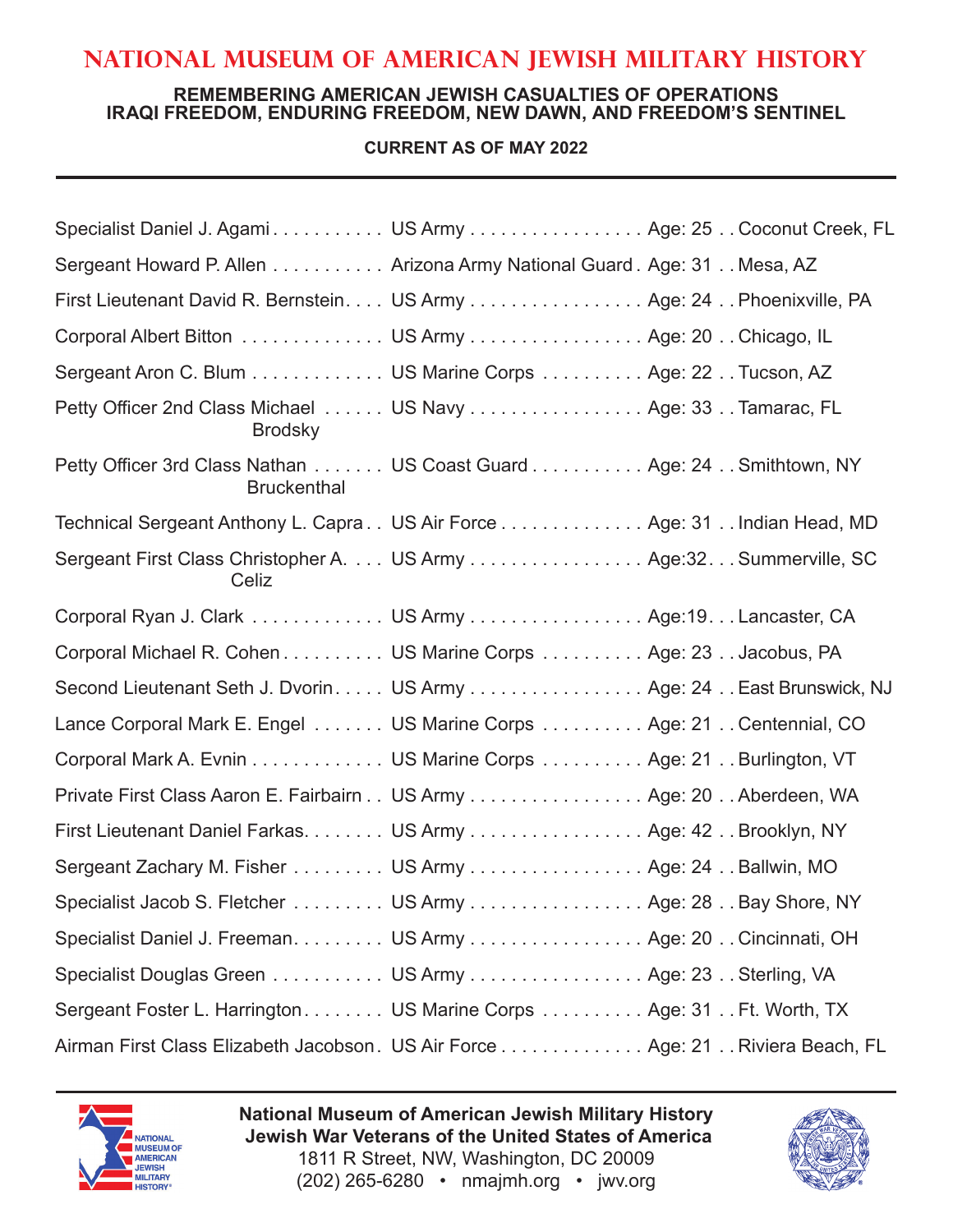# **National Museum of American Jewish Military History**

## **REMEMBERING AMERICAN JEWISH CASUALTIES OF OPERATIONS IRAQI FREEDOM, ENDURING FREEDOM, NEW DAWN, AND FREEDOM'S SENTINEL**

## **CURRENT AS OF MAY 2022**

| Specialist Daniel J. Agami US Army Age: 25 Coconut Creek, FL                              |
|-------------------------------------------------------------------------------------------|
| Sergeant Howard P. Allen Arizona Army National Guard . Age: 31 Mesa, AZ                   |
| First Lieutenant David R. Bernstein. US Army Age: 24 Phoenixville, PA                     |
| Corporal Albert Bitton US Army Age: 20 Chicago, IL                                        |
| Sergeant Aron C. Blum US Marine Corps Age: 22 Tucson, AZ                                  |
| Petty Officer 2nd Class Michael US Navy Age: 33 Tamarac, FL<br><b>Brodsky</b>             |
| Petty Officer 3rd Class Nathan US Coast Guard Age: 24 Smithtown, NY<br><b>Bruckenthal</b> |
| Technical Sergeant Anthony L. Capra  US Air Force Age: 31  Indian Head, MD                |
| Sergeant First Class Christopher A. US Army Age:32. Summerville, SC<br>Celiz              |
| Corporal Ryan J. Clark US Army Age:19. Lancaster, CA                                      |
| Corporal Michael R. Cohen US Marine Corps Age: 23 Jacobus, PA                             |
| Second Lieutenant Seth J. Dvorin US Army Age: 24 East Brunswick, NJ                       |
| Lance Corporal Mark E. Engel US Marine Corps Age: 21 Centennial, CO                       |
| Corporal Mark A. Evnin US Marine Corps Age: 21 Burlington, VT                             |
| Private First Class Aaron E. Fairbairn US Army Age: 20 Aberdeen, WA                       |
| First Lieutenant Daniel Farkas. US Army Age: 42 Brooklyn, NY                              |
| Sergeant Zachary M. Fisher US Army Age: 24 Ballwin, MO                                    |
| Specialist Jacob S. Fletcher US Army Age: 28 Bay Shore, NY                                |
| Specialist Daniel J. Freeman. US Army Age: 20 Cincinnati, OH                              |
| Specialist Douglas Green US Army Age: 23 Sterling, VA                                     |
| Sergeant Foster L. Harrington US Marine Corps  Age: 31 Ft. Worth, TX                      |
| Airman First Class Elizabeth Jacobson. US Air Force Age: 21 Riviera Beach, FL             |



**National Museum of American Jewish Military History Jewish War Veterans of the United States of America** 1811 R Street, NW, Washington, DC 20009 (202) 265-6280 • nmajmh.org • jwv.org

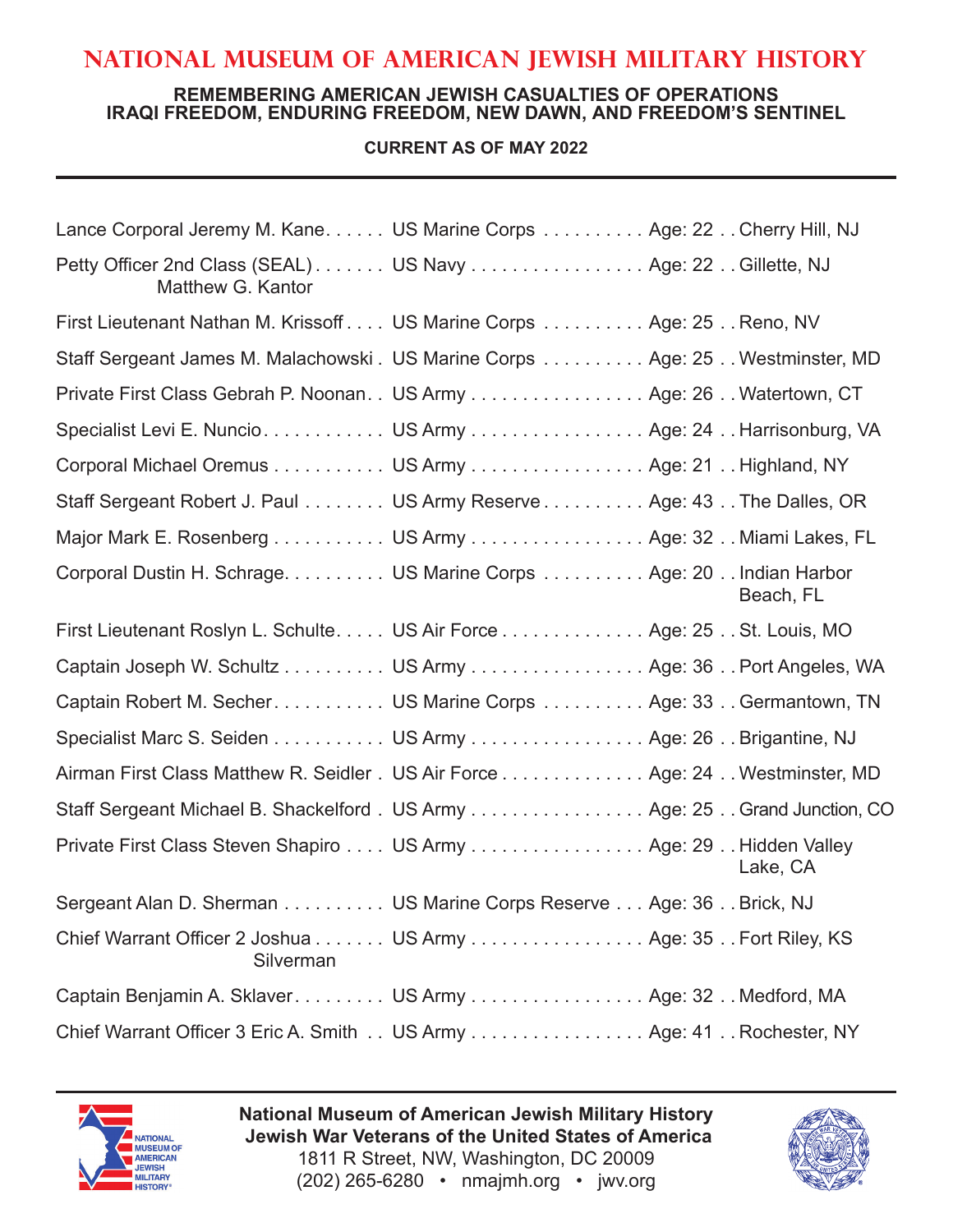# **National Museum of American Jewish Military History**

#### **REMEMBERING AMERICAN JEWISH CASUALTIES OF OPERATIONS IRAQI FREEDOM, ENDURING FREEDOM, NEW DAWN, AND FREEDOM'S SENTINEL**

## **CURRENT AS OF MAY 2022**

| Lance Corporal Jeremy M. Kane. US Marine Corps Age: 22 Cherry Hill, NJ           |  |           |
|----------------------------------------------------------------------------------|--|-----------|
| Petty Officer 2nd Class (SEAL) US Navy Age: 22 Gillette, NJ<br>Matthew G. Kantor |  |           |
| First Lieutenant Nathan M. Krissoff US Marine Corps  Age: 25 Reno, NV            |  |           |
| Staff Sergeant James M. Malachowski . US Marine Corps Age: 25 Westminster, MD    |  |           |
| Private First Class Gebrah P. Noonan. . US Army Age: 26 Watertown, CT            |  |           |
| Specialist Levi E. Nuncio. US Army Age: 24 Harrisonburg, VA                      |  |           |
| Corporal Michael Oremus US Army Age: 21 Highland, NY                             |  |           |
| Staff Sergeant Robert J. Paul US Army Reserve Age: 43 The Dalles, OR             |  |           |
| Major Mark E. Rosenberg US Army Age: 32 Miami Lakes, FL                          |  |           |
| Corporal Dustin H. Schrage. US Marine Corps Age: 20 Indian Harbor                |  | Beach, FL |
| First Lieutenant Roslyn L. Schulte US Air Force Age: 25. St. Louis, MO           |  |           |
| Captain Joseph W. Schultz US Army Age: 36 Port Angeles, WA                       |  |           |
| Captain Robert M. Secher US Marine Corps  Age: 33. Germantown, TN                |  |           |
| Specialist Marc S. Seiden US Army Age: 26 Brigantine, NJ                         |  |           |
| Airman First Class Matthew R. Seidler . US Air Force Age: 24 Westminster, MD     |  |           |
| Staff Sergeant Michael B. Shackelford . US Army Age: 25 Grand Junction, CO       |  |           |
| Private First Class Steven Shapiro US Army Age: 29 Hidden Valley                 |  | Lake, CA  |
| Sergeant Alan D. Sherman US Marine Corps Reserve Age: 36 Brick, NJ               |  |           |
| Chief Warrant Officer 2 Joshua US Army Age: 35 Fort Riley, KS<br>Silverman       |  |           |
| Captain Benjamin A. Sklaver. US Army Age: 32 Medford, MA                         |  |           |
| Chief Warrant Officer 3 Eric A. Smith US Army Age: 41 Rochester, NY              |  |           |



**National Museum of American Jewish Military History Jewish War Veterans of the United States of America** 1811 R Street, NW, Washington, DC 20009 (202) 265-6280 • nmajmh.org • jwv.org